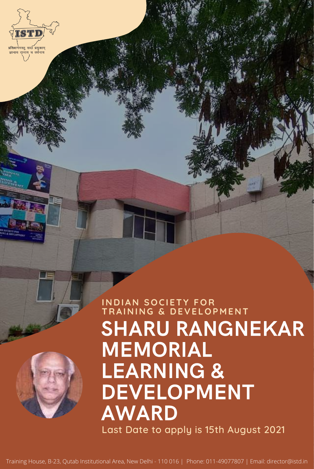

**All Auctions Plan** 

SHARU RANGNEKAR MEMORIAL LEARNING & DEVELOPMENT AWARD Last Date to apply is 15th August 2021

#### **I N D IA N SOCI ETY FOR TRAI N I N G & D EVE LOP M E N T**

Training House, B-23, Qutab Institutional Area, New Delhi - 110 016 | Phone: 011-49077807 | Email: director@istd.in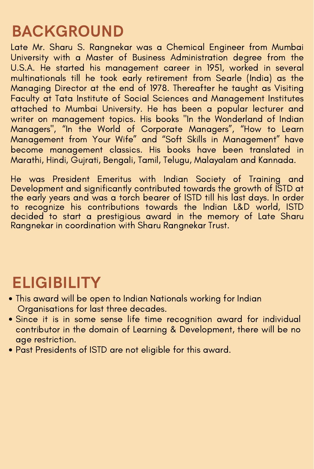Late Mr. Sharu S. Rangnekar was a Chemical Engineer from Mumbai University with a Master of Business Administration degree from the U.S.A. He started his management career in 1951, worked in several multinationals till he took early retirement from Searle (India) as the Managing Director at the end of 1978. Thereafter he taught as Visiting Faculty at Tata Institute of Social Sciences and Management Institutes attached to Mumbai University. He has been a popular lecturer and writer on management topics. His books "In the Wonderland of Indian Managers", "In the World of Corporate Managers", "How to Learn Management from Your Wife " and "Soft Skills in Management" have become management classics. His books have been translated in Marathi, Hindi, Gujrati, Bengali, Tamil, Telugu, Malayalam and Kannada.

He was President Emeritus with Indian Society of Training and Development and significantly contributed towards the growth of ISTD at the early years and was a torch bearer of ISTD till his last days. In order to recognize his contributions towards the Indian L&D world, ISTD decided to start a prestigious award in the memory of Late Sharu Rangnekar in coordination with Sharu Rangnekar Trust.

# BACKGROUND

#### ELIGIBILITY

- This award will be open to Indian Nationals working for Indian Organisations for last three decades.
- Since it is in some sense life time recognition award for individual contributor in the domain of Learning & Development, there will be no age restriction.
- Past Presidents of ISTD are not eligible for this award.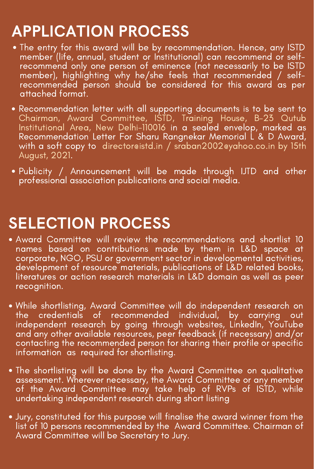Publicity / Announcement will be made through IJTD and other professional association publications and social media.

## SELECTION PROCESS

independent research by going through websites, LinkedIn, YouTube and any other available resources, peer feedback (if necessary) and/or contacting the recommended person for sharing their profile or specific information as required for shortlisting.

- Award Committee will review the recommendations and shortlist 10 names based on contributions made by them in L&D space at corporate, NGO, PSU or government sector in developmental activities, development of resource materials, publications of L&D related books, literatures or action research materials in L&D domain as well as peer recognition.
- While shortlisting, Award Committee will do independent research on the credentials of recommended individual, by carrying out
- The entry for this award will be by recommendation. Hence, any ISTD member (life, annual, student or Institutional) can recommend or selfrecommend only one person of eminence (not necessarily to be ISTD member), highlighting why he/she feels that recommended / selfrecommended person should be considered for this award as per attached format.
- Recommendation letter with all supporting documents is to be sent to Chairman, Award Committee, ISTD, Training House, B-23 Qutub Institutional Area, New Delhi-110016 in a sealed envelop, marked as Recommendation Letter For Sharu Rangnekar Memorial L & D Award, with a soft copy to director@istd.in / [sraban2002@yahoo.co.in](mailto:sraban2002@yahoo.co.in) by 15th August, 2021.

- The shortlisting will be done by the Award Committee on qualitative assessment. Wherever necessary, the Award Committee or any member of the Award Committee may take help of RVPs of ISTD, while undertaking independent research during short listing
- Jury, constituted for this purpose will finalise the award winner from the list of 10 persons recommended by the Award Committee. Chairman of Award Committee will be Secretary to Jury.

# APPLICATION PROCESS